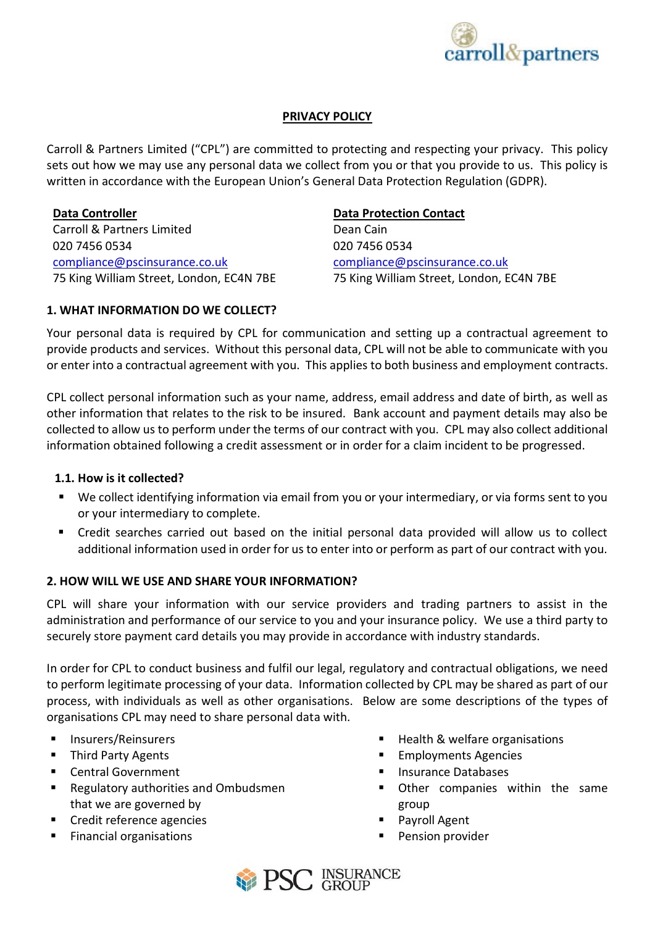

# **PRIVACY POLICY**

Carroll & Partners Limited ("CPL") are committed to protecting and respecting your privacy. This policy sets out how we may use any personal data we collect from you or that you provide to us. This policy is written in accordance with the European Union's General Data Protection Regulation (GDPR).

**Data Controller Data Protection Contact** Carroll & Partners Limited Dean Cain 020 7456 0534 020 7456 0534 [compliance@pscinsurance.co.uk](mailto:compliance@pscinsurance.co.uk) [compliance@pscinsurance.co.uk](mailto:dean.cain@pscinsurance.co.uk)

75 King William Street, London, EC4N 7BE 75 King William Street, London, EC4N 7BE

# **1. WHAT INFORMATION DO WE COLLECT?**

Your personal data is required by CPL for communication and setting up a contractual agreement to provide products and services. Without this personal data, CPL will not be able to communicate with you or enter into a contractual agreement with you. This applies to both business and employment contracts.

CPL collect personal information such as your name, address, email address and date of birth, as well as other information that relates to the risk to be insured. Bank account and payment details may also be collected to allow us to perform under the terms of our contract with you. CPL may also collect additional information obtained following a credit assessment or in order for a claim incident to be progressed.

# **1.1. How is it collected?**

- We collect identifying information via email from you or your intermediary, or via forms sent to you or your intermediary to complete.
- Credit searches carried out based on the initial personal data provided will allow us to collect additional information used in order for us to enter into or perform as part of our contract with you.

# **2. HOW WILL WE USE AND SHARE YOUR INFORMATION?**

CPL will share your information with our service providers and trading partners to assist in the administration and performance of our service to you and your insurance policy. We use a third party to securely store payment card details you may provide in accordance with industry standards.

In order for CPL to conduct business and fulfil our legal, regulatory and contractual obligations, we need to perform legitimate processing of your data. Information collected by CPL may be shared as part of our process, with individuals as well as other organisations. Below are some descriptions of the types of organisations CPL may need to share personal data with.

- Insurers/Reinsurers
- **Third Party Agents**
- Central Government
- Regulatory authorities and Ombudsmen that we are governed by
- Credit reference agencies
- **Financial organisations**
- Health & welfare organisations
- **Employments Agencies**
- **Insurance Databases**
- Other companies within the same group
- Payroll Agent
- Pension provider